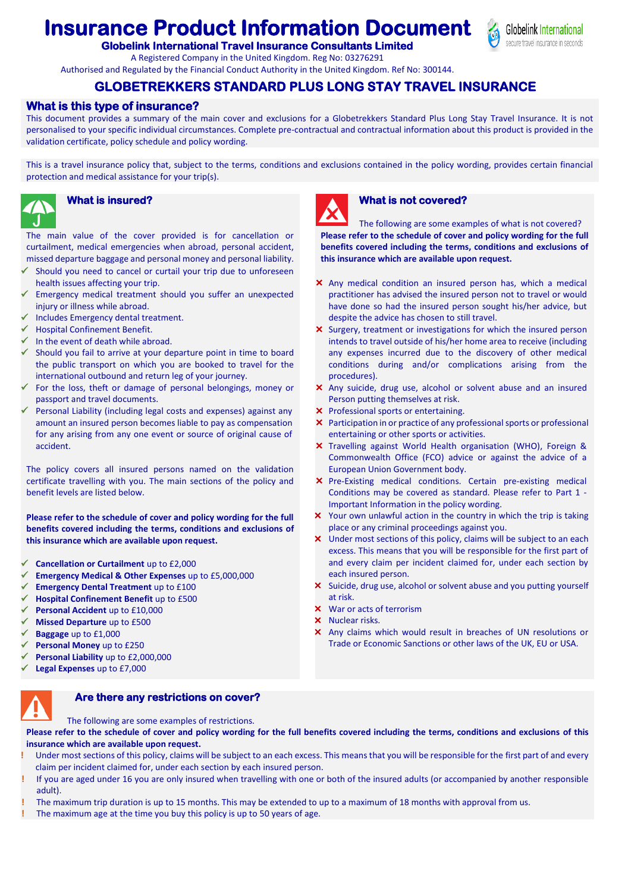# **Insurance Product Information Document**



**Globelink International Travel Insurance Consultants Limited** 

A Registered Company in the United Kingdom. Reg No: 03276291

#### Authorised and Regulated by the Financial Conduct Authority in the United Kingdom. Ref No: 300144.

# **GLOBETREKKERS STANDARD PLUS LONG STAY TRAVEL INSURANCE**

#### **What is this type of insurance?**

This document provides a summary of the main cover and exclusions for a Globetrekkers Standard Plus Long Stay Travel Insurance. It is not personalised to your specific individual circumstances. Complete pre-contractual and contractual information about this product is provided in the validation certificate, policy schedule and policy wording.

This is a travel insurance policy that, subject to the terms, conditions and exclusions contained in the policy wording, provides certain financial protection and medical assistance for your trip(s).



The main value of the cover provided is for cancellation or curtailment, medical emergencies when abroad, personal accident, missed departure baggage and personal money and personal liability.

- Should you need to cancel or curtail your trip due to unforeseen health issues affecting your trip.
- Emergency medical treatment should you suffer an unexpected injury or illness while abroad.
- Includes Emergency dental treatment.
- Hospital Confinement Benefit.
- $\checkmark$  In the event of death while abroad.
- $\checkmark$  Should you fail to arrive at your departure point in time to board the public transport on which you are booked to travel for the international outbound and return leg of your journey.
- $\checkmark$  For the loss, theft or damage of personal belongings, money or passport and travel documents.
- Personal Liability (including legal costs and expenses) against any amount an insured person becomes liable to pay as compensation for any arising from any one event or source of original cause of accident.

The policy covers all insured persons named on the validation certificate travelling with you. The main sections of the policy and benefit levels are listed below.

**Please refer to the schedule of cover and policy wording for the full benefits covered including the terms, conditions and exclusions of this insurance which are available upon request.**

- **Cancellation or Curtailment** up to £2,000
- **Emergency Medical & Other Expenses** up to £5,000,000
- **Emergency Dental Treatment** up to £100
- **Hospital Confinement Benefit** up to £500
- **Personal Accident** up to £10,000
- **Missed Departure** up to £500
- **Baggage** up to £1,000
- **Personal Money** up to £250
- **Personal Liability** up to £2,000,000
- **Legal Expenses** up to £7,000



# **Are there any restrictions on cover?**

The following are some examples of restrictions.

**Please refer to the schedule of cover and policy wording for the full benefits covered including the terms, conditions and exclusions of this insurance which are available upon request.**

- Under most sections of this policy, claims will be subject to an each excess. This means that you will be responsible for the first part of and every claim per incident claimed for, under each section by each insured person.
- **!** If you are aged under 16 you are only insured when travelling with one or both of the insured adults (or accompanied by another responsible adult).
- **!** The maximum trip duration is up to 15 months. This may be extended to up to a maximum of 18 months with approval from us.
- **!** The maximum age at the time you buy this policy is up to 50 years of age.



#### **What is insured? What is not covered?**

The following are some examples of what is not covered? **Please refer to the schedule of cover and policy wording for the full benefits covered including the terms, conditions and exclusions of this insurance which are available upon request.**

- Any medical condition an insured person has, which a medical practitioner has advised the insured person not to travel or would have done so had the insured person sought his/her advice, but despite the advice has chosen to still travel.
- X Surgery, treatment or investigations for which the insured person intends to travel outside of his/her home area to receive (including any expenses incurred due to the discovery of other medical conditions during and/or complications arising from the procedures).
- Any suicide, drug use, alcohol or solvent abuse and an insured Person putting themselves at risk.
- **X** Professional sports or entertaining.
- Participation in or practice of any professional sports or professional entertaining or other sports or activities.
- Travelling against World Health organisation (WHO), Foreign & Commonwealth Office (FCO) advice or against the advice of a European Union Government body.
- **X** Pre-Existing medical conditions. Certain pre-existing medical Conditions may be covered as standard. Please refer to Part 1 - Important Information in the policy wording.
- X Your own unlawful action in the country in which the trip is taking place or any criminal proceedings against you.
- X Under most sections of this policy, claims will be subject to an each excess. This means that you will be responsible for the first part of and every claim per incident claimed for, under each section by each insured person.
- X Suicide, drug use, alcohol or solvent abuse and you putting yourself at risk.
- War or acts of terrorism
- X Nuclear risks.
- Any claims which would result in breaches of UN resolutions or Trade or Economic Sanctions or other laws of the UK, EU or USA.